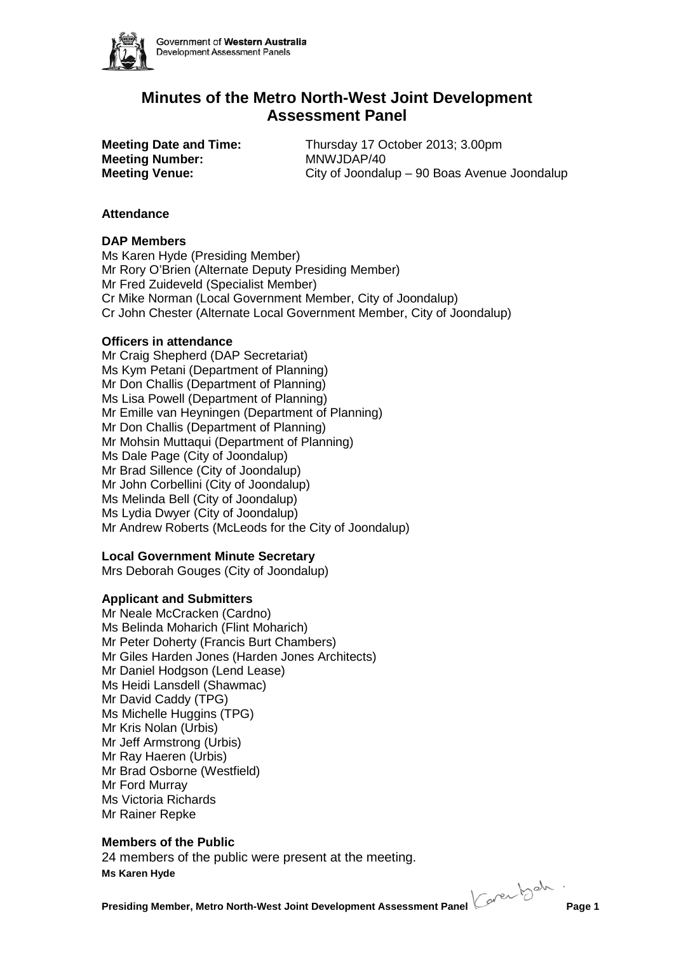

# **Minutes of the Metro North-West Joint Development Assessment Panel**

**Meeting Number:** MNWJDAP/40

**Meeting Date and Time:** Thursday 17 October 2013; 3.00pm **Meeting Venue:** City of Joondalup – 90 Boas Avenue Joondalup

# **Attendance**

# **DAP Members**

Ms Karen Hyde (Presiding Member) Mr Rory O'Brien (Alternate Deputy Presiding Member) Mr Fred Zuideveld (Specialist Member) Cr Mike Norman (Local Government Member, City of Joondalup) Cr John Chester (Alternate Local Government Member, City of Joondalup)

# **Officers in attendance**

Mr Craig Shepherd (DAP Secretariat) Ms Kym Petani (Department of Planning) Mr Don Challis (Department of Planning) Ms Lisa Powell (Department of Planning) Mr Emille van Heyningen (Department of Planning) Mr Don Challis (Department of Planning) Mr Mohsin Muttaqui (Department of Planning) Ms Dale Page (City of Joondalup) Mr Brad Sillence (City of Joondalup) Mr John Corbellini (City of Joondalup) Ms Melinda Bell (City of Joondalup) Ms Lydia Dwyer (City of Joondalup) Mr Andrew Roberts (McLeods for the City of Joondalup)

# **Local Government Minute Secretary**

Mrs Deborah Gouges (City of Joondalup)

# **Applicant and Submitters**

Mr Neale McCracken (Cardno) Ms Belinda Moharich (Flint Moharich) Mr Peter Doherty (Francis Burt Chambers) Mr Giles Harden Jones (Harden Jones Architects) Mr Daniel Hodgson (Lend Lease) Ms Heidi Lansdell (Shawmac) Mr David Caddy (TPG) Ms Michelle Huggins (TPG) Mr Kris Nolan (Urbis) Mr Jeff Armstrong (Urbis) Mr Ray Haeren (Urbis) Mr Brad Osborne (Westfield) Mr Ford Murray Ms Victoria Richards Mr Rainer Repke

# **Members of the Public**

**Ms Karen Hyde** 24 members of the public were present at the meeting.

**Presiding Member, Metro North-West Joint Development Assessment Panel Corection Page 1**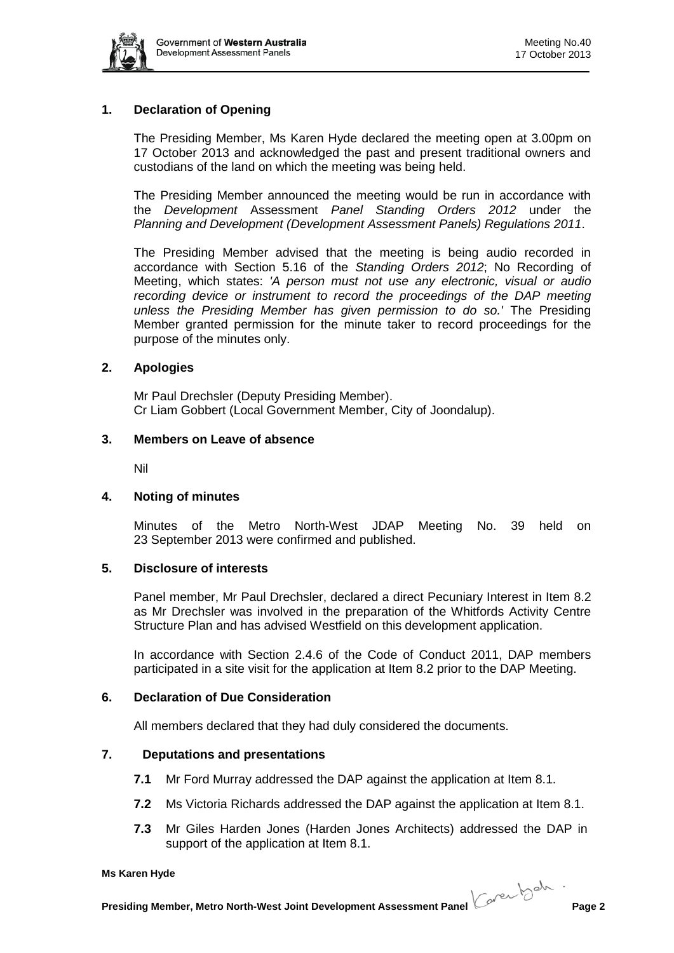

# **1. Declaration of Opening**

The Presiding Member, Ms Karen Hyde declared the meeting open at 3.00pm on 17 October 2013 and acknowledged the past and present traditional owners and custodians of the land on which the meeting was being held.

The Presiding Member announced the meeting would be run in accordance with the *Development* Assessment *Panel Standing Orders 2012* under the *Planning and Development (Development Assessment Panels) Regulations 2011*.

The Presiding Member advised that the meeting is being audio recorded in accordance with Section 5.16 of the *Standing Orders 2012*; No Recording of Meeting, which states: *'A person must not use any electronic, visual or audio*  recording device or instrument to record the proceedings of the DAP meeting *unless the Presiding Member has given permission to do so.'* The Presiding Member granted permission for the minute taker to record proceedings for the purpose of the minutes only.

### **2. Apologies**

Mr Paul Drechsler (Deputy Presiding Member). Cr Liam Gobbert (Local Government Member, City of Joondalup).

### **3. Members on Leave of absence**

Nil

### **4. Noting of minutes**

Minutes of the Metro North-West JDAP Meeting No. 39 held on 23 September 2013 were confirmed and published.

### **5. Disclosure of interests**

Panel member, Mr Paul Drechsler, declared a direct Pecuniary Interest in Item 8.2 as Mr Drechsler was involved in the preparation of the Whitfords Activity Centre Structure Plan and has advised Westfield on this development application.

In accordance with Section 2.4.6 of the Code of Conduct 2011, DAP members participated in a site visit for the application at Item 8.2 prior to the DAP Meeting.

# **6. Declaration of Due Consideration**

All members declared that they had duly considered the documents.

### **7. Deputations and presentations**

- **7.1** Mr Ford Murray addressed the DAP against the application at Item 8.1.
- **7.2** Ms Victoria Richards addressed the DAP against the application at Item 8.1.
- **7.3** Mr Giles Harden Jones (Harden Jones Architects) addressed the DAP in support of the application at Item 8.1.

#### **Ms Karen Hyde**

**Presiding Member, Metro North-West Joint Development Assessment Panel Cover bookstolled Page 2**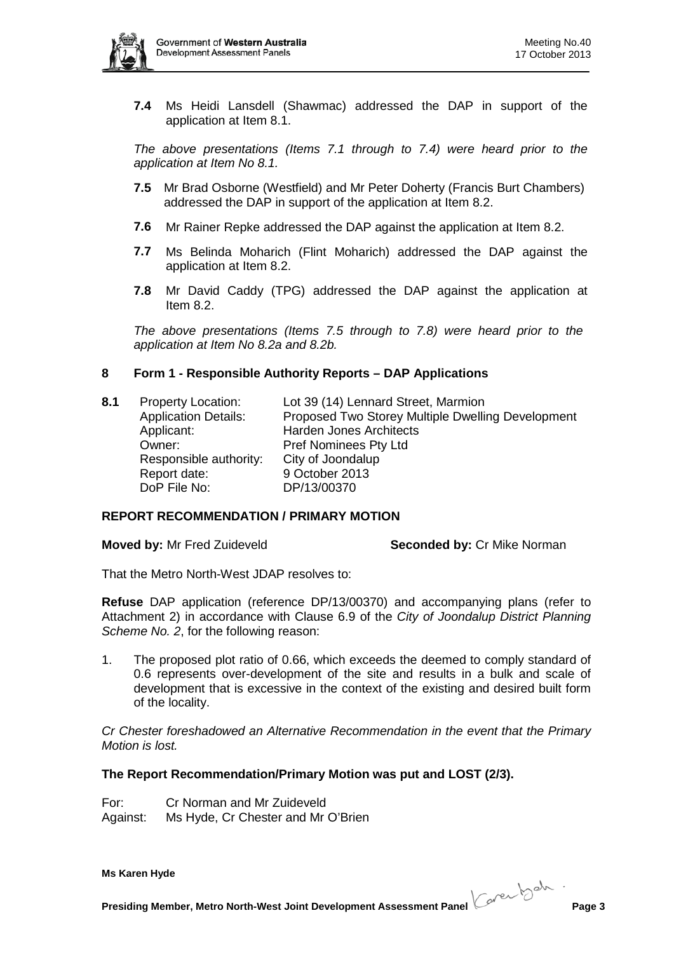

**7.4** Ms Heidi Lansdell (Shawmac) addressed the DAP in support of the application at Item 8.1.

*The above presentations (Items 7.1 through to 7.4) were heard prior to the application at Item No 8.1.* 

- **7.5** Mr Brad Osborne (Westfield) and Mr Peter Doherty (Francis Burt Chambers) addressed the DAP in support of the application at Item 8.2.
- **7.6** Mr Rainer Repke addressed the DAP against the application at Item 8.2.
- **7.7** Ms Belinda Moharich (Flint Moharich) addressed the DAP against the application at Item 8.2.
- **7.8** Mr David Caddy (TPG) addressed the DAP against the application at Item 8.2.

*The above presentations (Items 7.5 through to 7.8) were heard prior to the application at Item No 8.2a and 8.2b.* 

### **8 Form 1 - Responsible Authority Reports – DAP Applications**

**8.1** Property Location: Lot 39 (14) Lennard Street, Marmion Application Details: Proposed Two Storey Multiple Dwelling Development Applicant: Harden Jones Architects Owner: Pref Nominees Pty Ltd Responsible authority: City of Joondalup Report date: 9 October 2013 DoP File No: DP/13/00370

# **REPORT RECOMMENDATION / PRIMARY MOTION**

**Moved by: Mr Fred Zuideveld <b>Seconded by:** Cr Mike Norman

That the Metro North-West JDAP resolves to:

**Refuse** DAP application (reference DP/13/00370) and accompanying plans (refer to Attachment 2) in accordance with Clause 6.9 of the *City of Joondalup District Planning Scheme No. 2*, for the following reason:

1. The proposed plot ratio of 0.66, which exceeds the deemed to comply standard of 0.6 represents over-development of the site and results in a bulk and scale of development that is excessive in the context of the existing and desired built form of the locality.

*Cr Chester foreshadowed an Alternative Recommendation in the event that the Primary Motion is lost.*

### **The Report Recommendation/Primary Motion was put and LOST (2/3).**

For: Cr Norman and Mr Zuideveld Against: Ms Hyde, Cr Chester and Mr O'Brien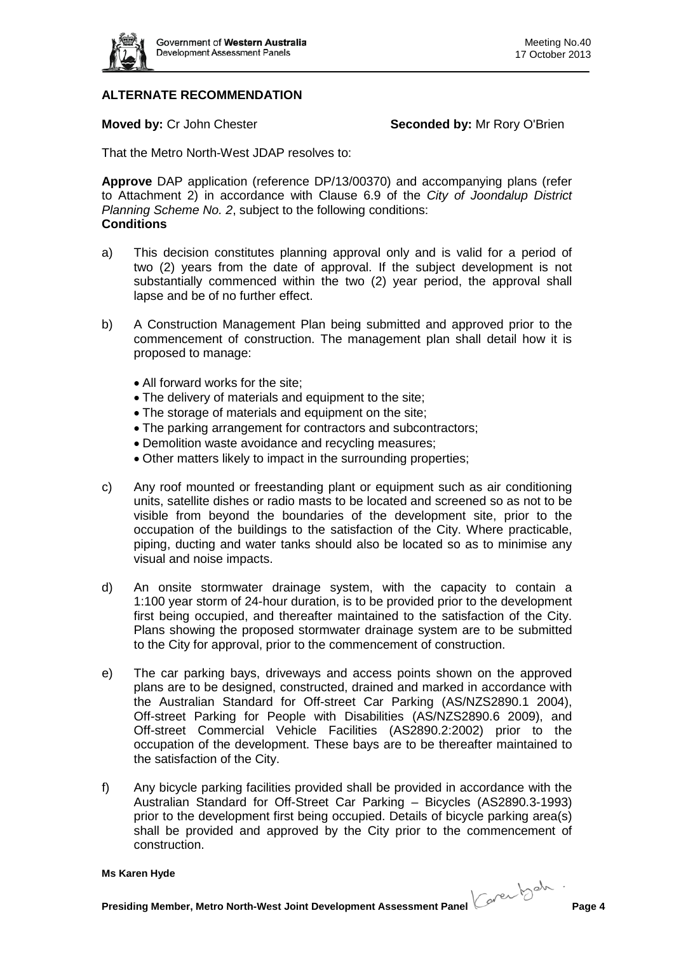

# **ALTERNATE RECOMMENDATION**

**Moved by:** Cr John Chester **Seconded by:** Mr Rory O'Brien

That the Metro North-West JDAP resolves to:

**Approve** DAP application (reference DP/13/00370) and accompanying plans (refer to Attachment 2) in accordance with Clause 6.9 of the *City of Joondalup District Planning Scheme No. 2*, subject to the following conditions: **Conditions**

- a) This decision constitutes planning approval only and is valid for a period of two (2) years from the date of approval. If the subject development is not substantially commenced within the two (2) year period, the approval shall lapse and be of no further effect.
- b) A Construction Management Plan being submitted and approved prior to the commencement of construction. The management plan shall detail how it is proposed to manage:
	- All forward works for the site;
	- The delivery of materials and equipment to the site;
	- The storage of materials and equipment on the site;
	- The parking arrangement for contractors and subcontractors;
	- Demolition waste avoidance and recycling measures;
	- Other matters likely to impact in the surrounding properties;
- c) Any roof mounted or freestanding plant or equipment such as air conditioning units, satellite dishes or radio masts to be located and screened so as not to be visible from beyond the boundaries of the development site, prior to the occupation of the buildings to the satisfaction of the City. Where practicable, piping, ducting and water tanks should also be located so as to minimise any visual and noise impacts.
- d) An onsite stormwater drainage system, with the capacity to contain a 1:100 year storm of 24-hour duration, is to be provided prior to the development first being occupied, and thereafter maintained to the satisfaction of the City. Plans showing the proposed stormwater drainage system are to be submitted to the City for approval, prior to the commencement of construction.
- e) The car parking bays, driveways and access points shown on the approved plans are to be designed, constructed, drained and marked in accordance with the Australian Standard for Off-street Car Parking (AS/NZS2890.1 2004), Off-street Parking for People with Disabilities (AS/NZS2890.6 2009), and Off-street Commercial Vehicle Facilities (AS2890.2:2002) prior to the occupation of the development. These bays are to be thereafter maintained to the satisfaction of the City.
- f) Any bicycle parking facilities provided shall be provided in accordance with the Australian Standard for Off-Street Car Parking – Bicycles (AS2890.3-1993) prior to the development first being occupied. Details of bicycle parking area(s) shall be provided and approved by the City prior to the commencement of construction.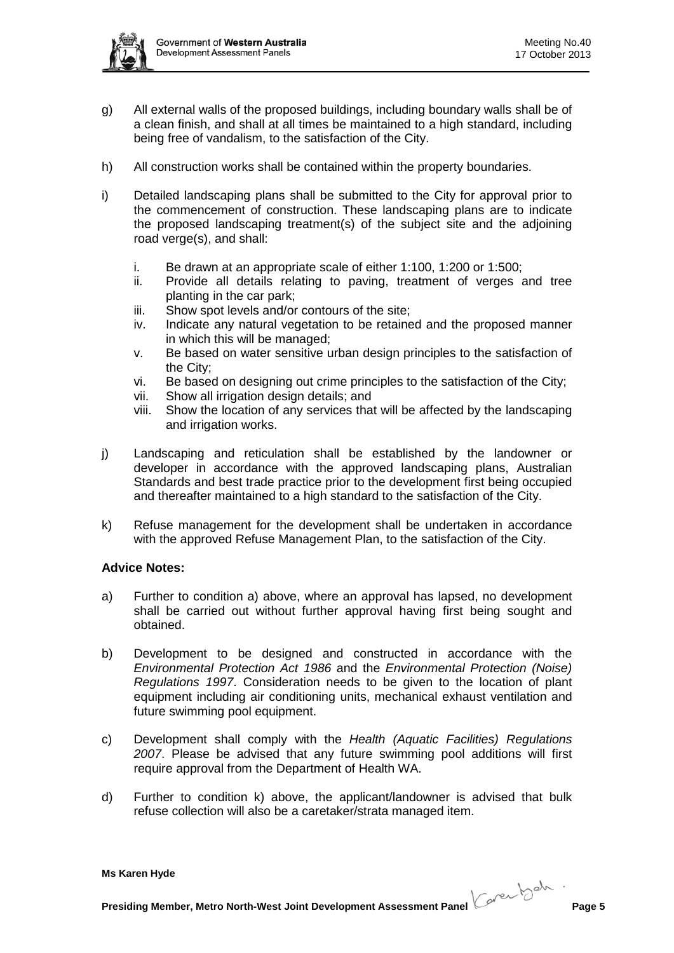

- g) All external walls of the proposed buildings, including boundary walls shall be of a clean finish, and shall at all times be maintained to a high standard, including being free of vandalism, to the satisfaction of the City.
- h) All construction works shall be contained within the property boundaries.
- i) Detailed landscaping plans shall be submitted to the City for approval prior to the commencement of construction. These landscaping plans are to indicate the proposed landscaping treatment(s) of the subject site and the adjoining road verge(s), and shall:
	- i. Be drawn at an appropriate scale of either 1:100, 1:200 or 1:500;
	- ii. Provide all details relating to paving, treatment of verges and tree planting in the car park;
	- iii. Show spot levels and/or contours of the site;
	- iv. Indicate any natural vegetation to be retained and the proposed manner in which this will be managed;
	- v. Be based on water sensitive urban design principles to the satisfaction of the City;
	- vi. Be based on designing out crime principles to the satisfaction of the City;
	- vii. Show all irrigation design details; and
	- viii. Show the location of any services that will be affected by the landscaping and irrigation works.
- j) Landscaping and reticulation shall be established by the landowner or developer in accordance with the approved landscaping plans, Australian Standards and best trade practice prior to the development first being occupied and thereafter maintained to a high standard to the satisfaction of the City.
- k) Refuse management for the development shall be undertaken in accordance with the approved Refuse Management Plan, to the satisfaction of the City.

# **Advice Notes:**

- a) Further to condition a) above, where an approval has lapsed, no development shall be carried out without further approval having first being sought and obtained.
- b) Development to be designed and constructed in accordance with the *Environmental Protection Act 1986* and the *Environmental Protection (Noise) Regulations 1997*. Consideration needs to be given to the location of plant equipment including air conditioning units, mechanical exhaust ventilation and future swimming pool equipment.
- c) Development shall comply with the *Health (Aquatic Facilities) Regulations 2007*. Please be advised that any future swimming pool additions will first require approval from the Department of Health WA.
- d) Further to condition k) above, the applicant/landowner is advised that bulk refuse collection will also be a caretaker/strata managed item.

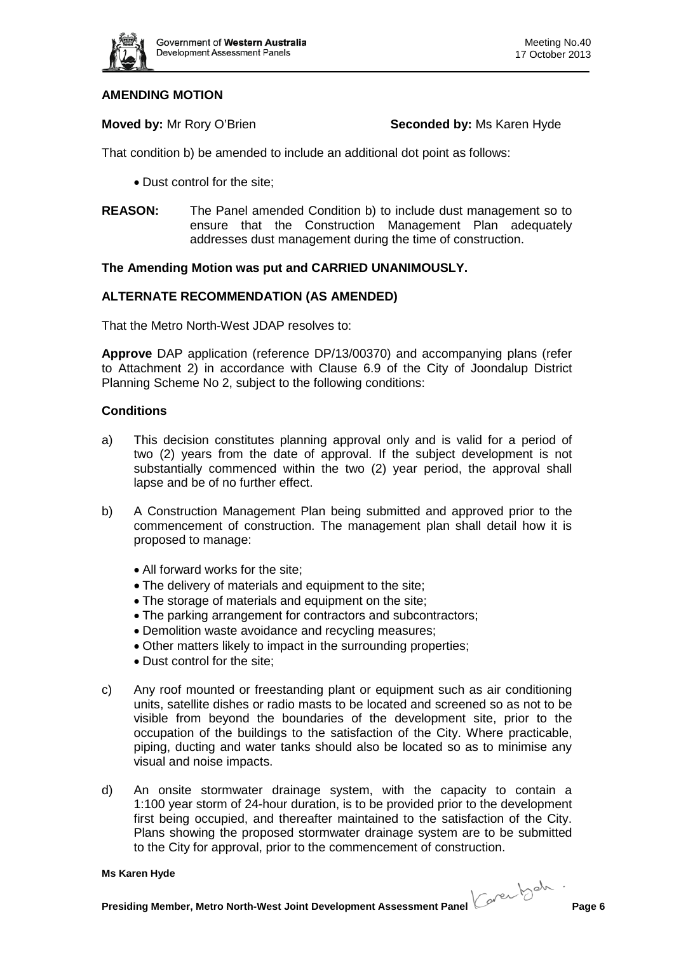

# **AMENDING MOTION**

**Moved by:** Mr Rory O'Brien **Seconded by:** Ms Karen Hyde

That condition b) be amended to include an additional dot point as follows:

- Dust control for the site;
- **REASON:** The Panel amended Condition b) to include dust management so to ensure that the Construction Management Plan adequately addresses dust management during the time of construction.

### **The Amending Motion was put and CARRIED UNANIMOUSLY.**

### **ALTERNATE RECOMMENDATION (AS AMENDED)**

That the Metro North-West JDAP resolves to:

**Approve** DAP application (reference DP/13/00370) and accompanying plans (refer to Attachment 2) in accordance with Clause 6.9 of the City of Joondalup District Planning Scheme No 2, subject to the following conditions:

### **Conditions**

- a) This decision constitutes planning approval only and is valid for a period of two (2) years from the date of approval. If the subject development is not substantially commenced within the two (2) year period, the approval shall lapse and be of no further effect.
- b) A Construction Management Plan being submitted and approved prior to the commencement of construction. The management plan shall detail how it is proposed to manage:
	- All forward works for the site;
	- The delivery of materials and equipment to the site;
	- The storage of materials and equipment on the site;
	- The parking arrangement for contractors and subcontractors;
	- Demolition waste avoidance and recycling measures;
	- Other matters likely to impact in the surrounding properties;
	- Dust control for the site;
- c) Any roof mounted or freestanding plant or equipment such as air conditioning units, satellite dishes or radio masts to be located and screened so as not to be visible from beyond the boundaries of the development site, prior to the occupation of the buildings to the satisfaction of the City. Where practicable, piping, ducting and water tanks should also be located so as to minimise any visual and noise impacts.
- d) An onsite stormwater drainage system, with the capacity to contain a 1:100 year storm of 24-hour duration, is to be provided prior to the development first being occupied, and thereafter maintained to the satisfaction of the City. Plans showing the proposed stormwater drainage system are to be submitted to the City for approval, prior to the commencement of construction.

#### **Ms Karen Hyde**

**Presiding Member, Metro North-West Joint Development Assessment Panel Cover bookstoller Page 6**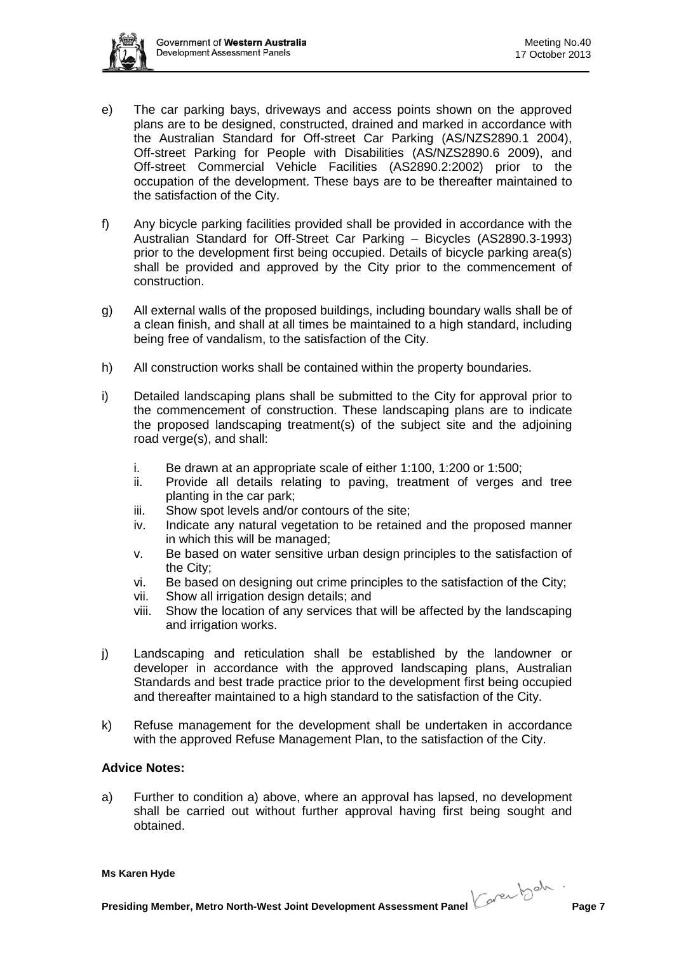

- e) The car parking bays, driveways and access points shown on the approved plans are to be designed, constructed, drained and marked in accordance with the Australian Standard for Off-street Car Parking (AS/NZS2890.1 2004), Off-street Parking for People with Disabilities (AS/NZS2890.6 2009), and Off-street Commercial Vehicle Facilities (AS2890.2:2002) prior to the occupation of the development. These bays are to be thereafter maintained to the satisfaction of the City.
- f) Any bicycle parking facilities provided shall be provided in accordance with the Australian Standard for Off-Street Car Parking – Bicycles (AS2890.3-1993) prior to the development first being occupied. Details of bicycle parking area(s) shall be provided and approved by the City prior to the commencement of construction.
- g) All external walls of the proposed buildings, including boundary walls shall be of a clean finish, and shall at all times be maintained to a high standard, including being free of vandalism, to the satisfaction of the City.
- h) All construction works shall be contained within the property boundaries.
- i) Detailed landscaping plans shall be submitted to the City for approval prior to the commencement of construction. These landscaping plans are to indicate the proposed landscaping treatment(s) of the subject site and the adjoining road verge(s), and shall:
	- i. Be drawn at an appropriate scale of either 1:100, 1:200 or 1:500;
	- ii. Provide all details relating to paving, treatment of verges and tree planting in the car park;
	- iii. Show spot levels and/or contours of the site;
	- iv. Indicate any natural vegetation to be retained and the proposed manner in which this will be managed;
	- v. Be based on water sensitive urban design principles to the satisfaction of the City;
	- vi. Be based on designing out crime principles to the satisfaction of the City;
	- vii. Show all irrigation design details; and
	- viii. Show the location of any services that will be affected by the landscaping and irrigation works.
- j) Landscaping and reticulation shall be established by the landowner or developer in accordance with the approved landscaping plans, Australian Standards and best trade practice prior to the development first being occupied and thereafter maintained to a high standard to the satisfaction of the City.
- k) Refuse management for the development shall be undertaken in accordance with the approved Refuse Management Plan, to the satisfaction of the City.

### **Advice Notes:**

a) Further to condition a) above, where an approval has lapsed, no development shall be carried out without further approval having first being sought and obtained.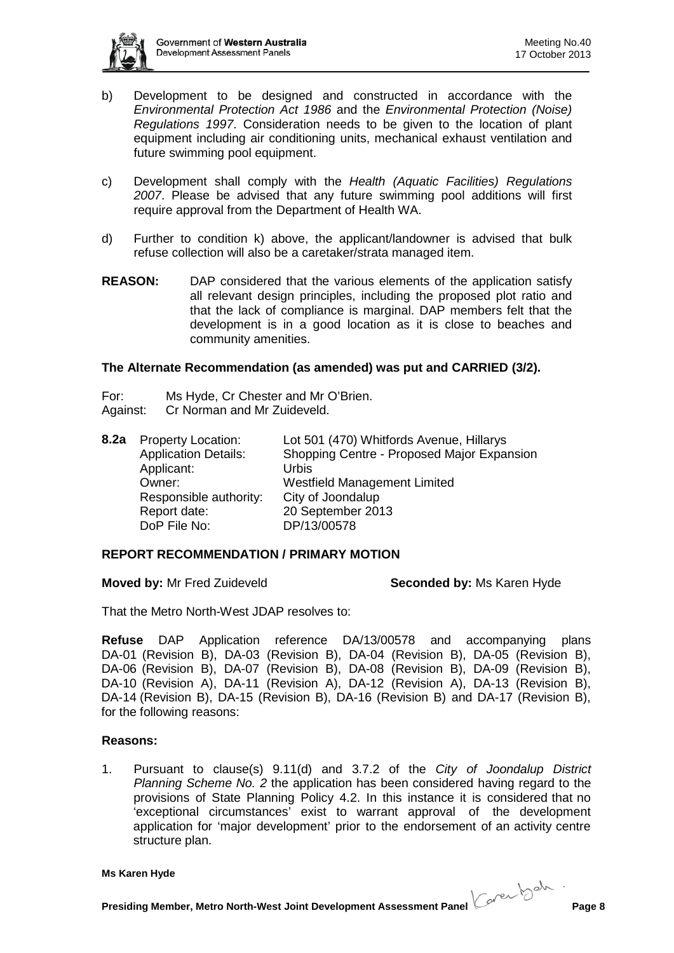

- b) Development to be designed and constructed in accordance with the *Environmental Protection Act 1986* and the *Environmental Protection (Noise) Regulations 1997*. Consideration needs to be given to the location of plant equipment including air conditioning units, mechanical exhaust ventilation and future swimming pool equipment.
- c) Development shall comply with the *Health (Aquatic Facilities) Regulations 2007*. Please be advised that any future swimming pool additions will first require approval from the Department of Health WA.
- d) Further to condition k) above, the applicant/landowner is advised that bulk refuse collection will also be a caretaker/strata managed item.
- **REASON:** DAP considered that the various elements of the application satisfy all relevant design principles, including the proposed plot ratio and that the lack of compliance is marginal. DAP members felt that the development is in a good location as it is close to beaches and community amenities.

### **The Alternate Recommendation (as amended) was put and CARRIED (3/2).**

For: Ms Hyde, Cr Chester and Mr O'Brien. Against: Cr Norman and Mr Zuideveld.

| 8.2a | <b>Property Location:</b><br><b>Application Details:</b><br>Applicant:<br>Owner:<br>Responsible authority: | Lot 501 (470) Whitfords Avenue, Hillarys<br>Shopping Centre - Proposed Major Expansion<br>Urbis<br>Westfield Management Limited<br>City of Joondalup |
|------|------------------------------------------------------------------------------------------------------------|------------------------------------------------------------------------------------------------------------------------------------------------------|
|      | Report date:<br>DoP File No:                                                                               | 20 September 2013<br>DP/13/00578                                                                                                                     |

# **REPORT RECOMMENDATION / PRIMARY MOTION**

**Moved by:** Mr Fred Zuideveld **Seconded by:** Ms Karen Hyde

That the Metro North-West JDAP resolves to:

**Refuse** DAP Application reference DA/13/00578 and accompanying plans DA-01 (Revision B), DA-03 (Revision B), DA-04 (Revision B), DA-05 (Revision B), DA-06 (Revision B), DA-07 (Revision B), DA-08 (Revision B), DA-09 (Revision B), DA-10 (Revision A), DA-11 (Revision A), DA-12 (Revision A), DA-13 (Revision B), DA-14 (Revision B), DA-15 (Revision B), DA-16 (Revision B) and DA-17 (Revision B), for the following reasons:

### **Reasons:**

1. Pursuant to clause(s) 9.11(d) and 3.7.2 of the *City of Joondalup District Planning Scheme No. 2* the application has been considered having regard to the provisions of State Planning Policy 4.2. In this instance it is considered that no 'exceptional circumstances' exist to warrant approval of the development application for 'major development' prior to the endorsement of an activity centre structure plan.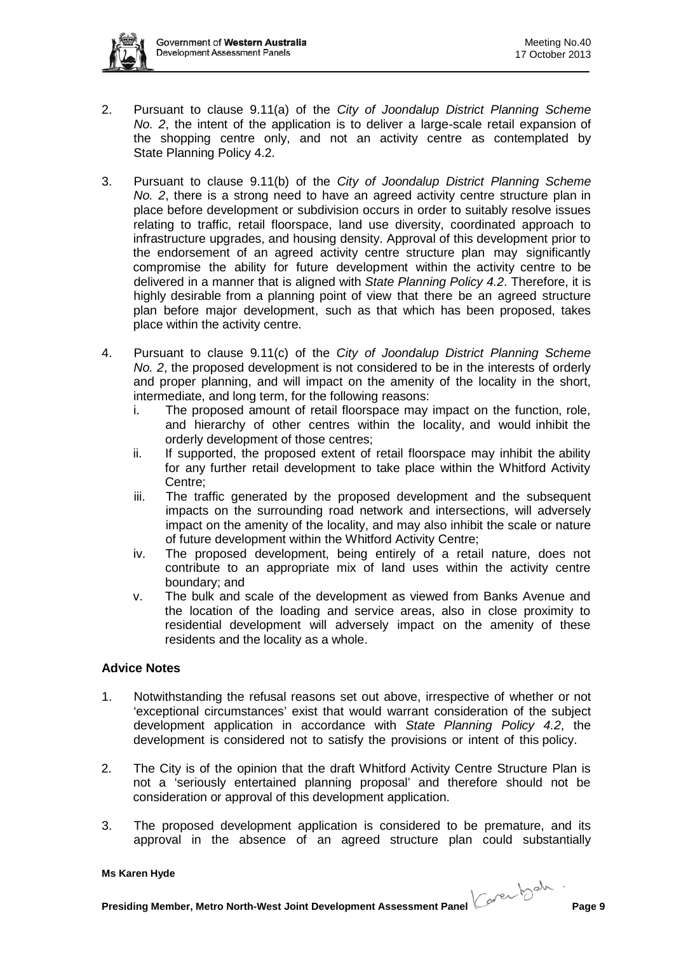

- 2. Pursuant to clause 9.11(a) of the *City of Joondalup District Planning Scheme No. 2*, the intent of the application is to deliver a large-scale retail expansion of the shopping centre only, and not an activity centre as contemplated by State Planning Policy 4.2.
- 3. Pursuant to clause 9.11(b) of the *City of Joondalup District Planning Scheme No. 2*, there is a strong need to have an agreed activity centre structure plan in place before development or subdivision occurs in order to suitably resolve issues relating to traffic, retail floorspace, land use diversity, coordinated approach to infrastructure upgrades, and housing density. Approval of this development prior to the endorsement of an agreed activity centre structure plan may significantly compromise the ability for future development within the activity centre to be delivered in a manner that is aligned with *State Planning Policy 4.2*. Therefore, it is highly desirable from a planning point of view that there be an agreed structure plan before major development, such as that which has been proposed, takes place within the activity centre.
- 4. Pursuant to clause 9.11(c) of the *City of Joondalup District Planning Scheme No. 2*, the proposed development is not considered to be in the interests of orderly and proper planning, and will impact on the amenity of the locality in the short, intermediate, and long term, for the following reasons:
	- i. The proposed amount of retail floorspace may impact on the function, role, and hierarchy of other centres within the locality, and would inhibit the orderly development of those centres;
	- ii. If supported, the proposed extent of retail floorspace may inhibit the ability for any further retail development to take place within the Whitford Activity Centre;
	- iii. The traffic generated by the proposed development and the subsequent impacts on the surrounding road network and intersections, will adversely impact on the amenity of the locality, and may also inhibit the scale or nature of future development within the Whitford Activity Centre;
	- iv. The proposed development, being entirely of a retail nature, does not contribute to an appropriate mix of land uses within the activity centre boundary; and
	- v. The bulk and scale of the development as viewed from Banks Avenue and the location of the loading and service areas, also in close proximity to residential development will adversely impact on the amenity of these residents and the locality as a whole.

# **Advice Notes**

- 1. Notwithstanding the refusal reasons set out above, irrespective of whether or not 'exceptional circumstances' exist that would warrant consideration of the subject development application in accordance with *State Planning Policy 4.2*, the development is considered not to satisfy the provisions or intent of this policy.
- 2. The City is of the opinion that the draft Whitford Activity Centre Structure Plan is not a 'seriously entertained planning proposal' and therefore should not be consideration or approval of this development application.
- 3. The proposed development application is considered to be premature, and its approval in the absence of an agreed structure plan could substantially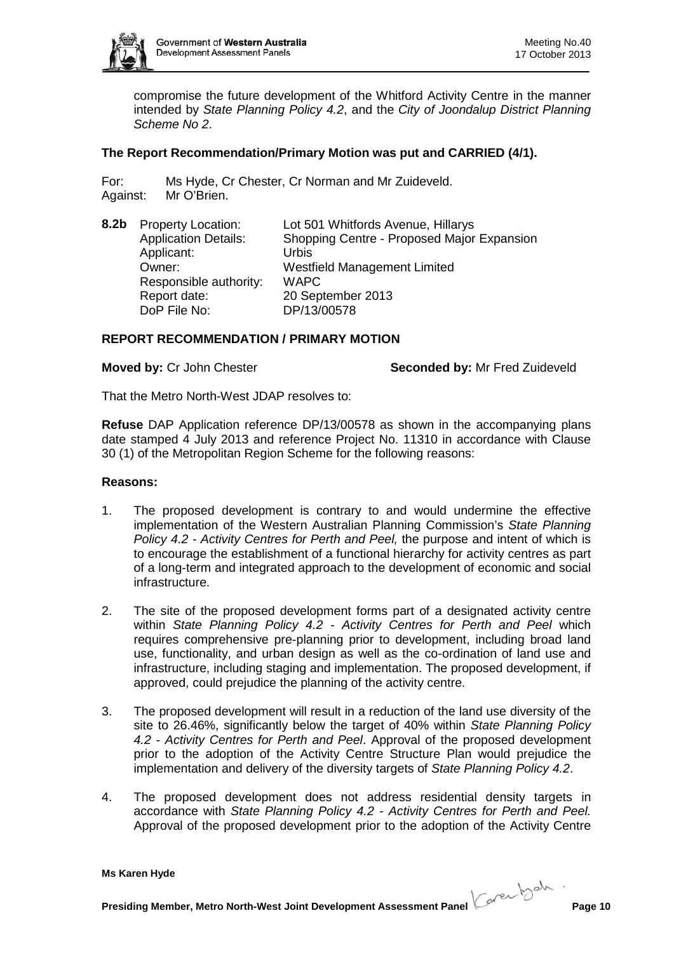

compromise the future development of the Whitford Activity Centre in the manner intended by *State Planning Policy 4.2*, and the *City of Joondalup District Planning Scheme No 2*.

# **The Report Recommendation/Primary Motion was put and CARRIED (4/1).**

For: Ms Hyde, Cr Chester, Cr Norman and Mr Zuideveld. Against: Mr O'Brien.

| 8.2 <sub>b</sub> | <b>Property Location:</b>   | Lot 501 Whitfords Avenue, Hillarys         |
|------------------|-----------------------------|--------------------------------------------|
|                  | <b>Application Details:</b> | Shopping Centre - Proposed Major Expansion |
|                  | Applicant:                  | Urbis                                      |
|                  | Owner:                      | <b>Westfield Management Limited</b>        |
|                  | Responsible authority:      | <b>WAPC</b>                                |
|                  | Report date:                | 20 September 2013                          |
|                  | DoP File No:                | DP/13/00578                                |

#### **REPORT RECOMMENDATION / PRIMARY MOTION**

**Moved by:** Cr John Chester **Seconded by:** Mr Fred Zuideveld

That the Metro North-West JDAP resolves to:

**Refuse** DAP Application reference DP/13/00578 as shown in the accompanying plans date stamped 4 July 2013 and reference Project No. 11310 in accordance with Clause 30 (1) of the Metropolitan Region Scheme for the following reasons:

#### **Reasons:**

- 1. The proposed development is contrary to and would undermine the effective implementation of the Western Australian Planning Commission's *State Planning Policy 4.2 - Activity Centres for Perth and Peel,* the purpose and intent of which is to encourage the establishment of a functional hierarchy for activity centres as part of a long-term and integrated approach to the development of economic and social infrastructure.
- 2. The site of the proposed development forms part of a designated activity centre within *State Planning Policy 4.2 - Activity Centres for Perth and Peel* which requires comprehensive pre-planning prior to development, including broad land use, functionality, and urban design as well as the co-ordination of land use and infrastructure, including staging and implementation. The proposed development, if approved, could prejudice the planning of the activity centre.
- 3. The proposed development will result in a reduction of the land use diversity of the site to 26.46%, significantly below the target of 40% within *State Planning Policy 4.2 - Activity Centres for Perth and Peel*. Approval of the proposed development prior to the adoption of the Activity Centre Structure Plan would prejudice the implementation and delivery of the diversity targets of *State Planning Policy 4.2*.
- 4. The proposed development does not address residential density targets in accordance with *State Planning Policy 4.2 - Activity Centres for Perth and Peel.* Approval of the proposed development prior to the adoption of the Activity Centre

**Ms Karen Hyde**

**Presiding Member, Metro North-West Joint Development Assessment Panel Corection Page 10**